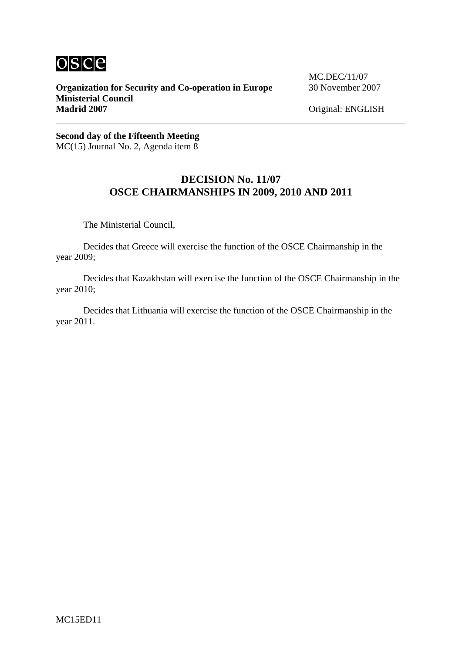

**Organization for Security and Co-operation in Europe** 30 November 2007 **Ministerial Council**  Madrid 2007 **Madrid 2007** Original: ENGLISH

MC.DEC/11/07

**Second day of the Fifteenth Meeting** MC(15) Journal No. 2, Agenda item 8

## **DECISION No. 11/07 OSCE CHAIRMANSHIPS IN 2009, 2010 AND 2011**

The Ministerial Council,

 Decides that Greece will exercise the function of the OSCE Chairmanship in the year 2009;

 Decides that Kazakhstan will exercise the function of the OSCE Chairmanship in the year 2010;

 Decides that Lithuania will exercise the function of the OSCE Chairmanship in the year 2011.